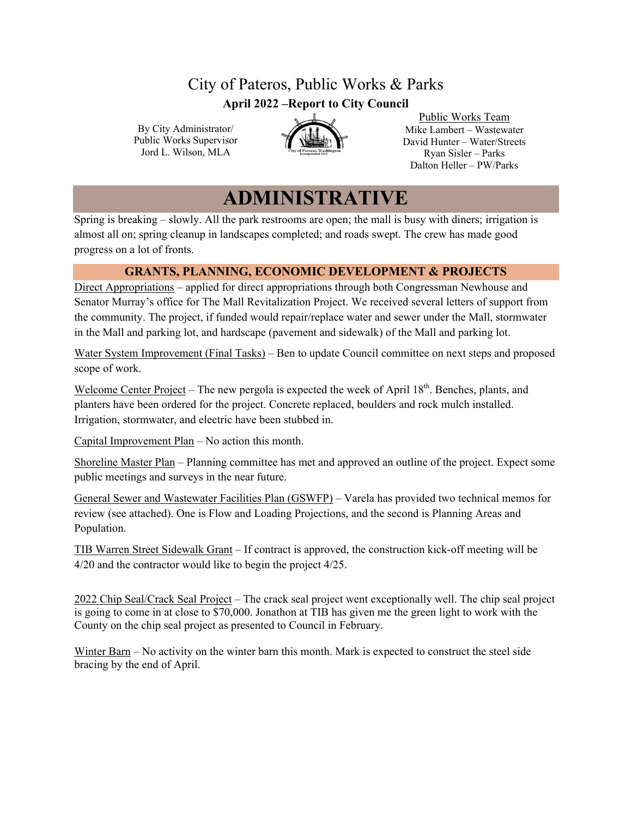### City of Pateros, Public Works & Parks **April 2022 –Report to City Council**

By City Administrator/ Public Works Supervisor Jord L. Wilson, MLA



Public Works Team Mike Lambert – Wastewater David Hunter – Water/Streets Ryan Sisler – Parks Dalton Heller – PW/Parks

## **ADMINISTRATIVE**

Spring is breaking – slowly. All the park restrooms are open; the mall is busy with diners; irrigation is almost all on; spring cleanup in landscapes completed; and roads swept. The crew has made good progress on a lot of fronts.

#### **GRANTS, PLANNING, ECONOMIC DEVELOPMENT & PROJECTS**

Direct Appropriations – applied for direct appropriations through both Congressman Newhouse and Senator Murray's office for The Mall Revitalization Project. We received several letters of support from the community. The project, if funded would repair/replace water and sewer under the Mall, stormwater in the Mall and parking lot, and hardscape (pavement and sidewalk) of the Mall and parking lot.

Water System Improvement (Final Tasks) – Ben to update Council committee on next steps and proposed scope of work.

Welcome Center Project – The new pergola is expected the week of April  $18<sup>th</sup>$ . Benches, plants, and planters have been ordered for the project. Concrete replaced, boulders and rock mulch installed. Irrigation, stormwater, and electric have been stubbed in.

Capital Improvement Plan – No action this month.

Shoreline Master Plan – Planning committee has met and approved an outline of the project. Expect some public meetings and surveys in the near future.

General Sewer and Wastewater Facilities Plan (GSWFP) – Varela has provided two technical memos for review (see attached). One is Flow and Loading Projections, and the second is Planning Areas and Population.

TIB Warren Street Sidewalk Grant – If contract is approved, the construction kick-off meeting will be 4/20 and the contractor would like to begin the project 4/25.

2022 Chip Seal/Crack Seal Project – The crack seal project went exceptionally well. The chip seal project is going to come in at close to \$70,000. Jonathon at TIB has given me the green light to work with the County on the chip seal project as presented to Council in February.

Winter Barn – No activity on the winter barn this month. Mark is expected to construct the steel side bracing by the end of April.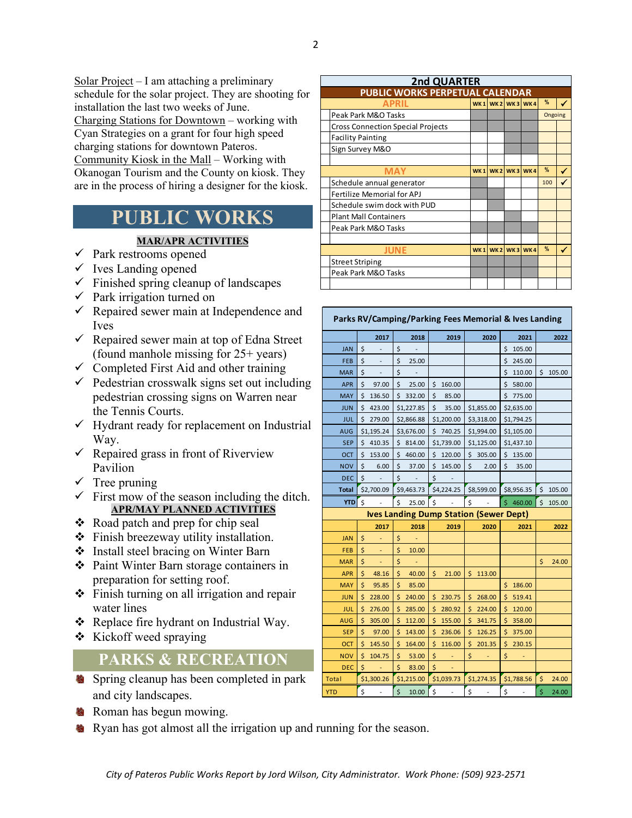Solar Project – I am attaching a preliminary schedule for the solar project. They are shooting for installation the last two weeks of June. Charging Stations for Downtown – working with Cyan Strategies on a grant for four high speed charging stations for downtown Pateros. Community Kiosk in the Mall – Working with Okanogan Tourism and the County on kiosk. They are in the process of hiring a designer for the kiosk.

# **PUBLIC WORKS**

#### **MAR/APR ACTIVITIES**

- $\checkmark$  Park restrooms opened
- $\checkmark$  Ives Landing opened
- $\checkmark$  Finished spring cleanup of landscapes
- $\checkmark$  Park irrigation turned on
- $\checkmark$  Repaired sewer main at Independence and Ives
- $\checkmark$  Repaired sewer main at top of Edna Street (found manhole missing for 25+ years)
- $\checkmark$  Completed First Aid and other training
- $\checkmark$  Pedestrian crosswalk signs set out including pedestrian crossing signs on Warren near the Tennis Courts.
- $\checkmark$  Hydrant ready for replacement on Industrial Way.
- $\checkmark$  Repaired grass in front of Riverview Pavilion
- $\checkmark$  Tree pruning
- $\checkmark$  First mow of the season including the ditch. **APR/MAY PLANNED ACTIVITIES**

#### Road patch and prep for chip seal

- Finish breezeway utility installation.
- Install steel bracing on Winter Barn
- Paint Winter Barn storage containers in preparation for setting roof.
- Finish turning on all irrigation and repair water lines
- ❖ Replace fire hydrant on Industrial Way.
- $\triangle$  Kickoff weed spraying

### **PARKS & RECREATION**

- Spring cleanup has been completed in park and city landscapes.
- **Roman has begun mowing.**
- Ryan has got almost all the irrigation up and running for the season.

| <b>2nd QUARTER</b>                       |  |  |                 |  |         |   |  |  |  |  |
|------------------------------------------|--|--|-----------------|--|---------|---|--|--|--|--|
| <b>PUBLIC WORKS PERPETUAL CALENDAR</b>   |  |  |                 |  |         |   |  |  |  |  |
| <b>APRIL</b>                             |  |  | WK1WK2WK3WK4    |  | %       |   |  |  |  |  |
| Peak Park M&O Tasks                      |  |  |                 |  | Ongoing |   |  |  |  |  |
| <b>Cross Connection Special Projects</b> |  |  |                 |  |         |   |  |  |  |  |
| <b>Facility Painting</b>                 |  |  |                 |  |         |   |  |  |  |  |
| Sign Survey M&O                          |  |  |                 |  |         |   |  |  |  |  |
|                                          |  |  |                 |  |         |   |  |  |  |  |
| <b>MAY</b>                               |  |  | WK1 WK2 WK3 WK4 |  | %       |   |  |  |  |  |
| Schedule annual generator                |  |  |                 |  | 100     |   |  |  |  |  |
| Fertilize Memorial for APJ               |  |  |                 |  |         |   |  |  |  |  |
| Schedule swim dock with PUD              |  |  |                 |  |         |   |  |  |  |  |
| <b>Plant Mall Containers</b>             |  |  |                 |  |         |   |  |  |  |  |
| Peak Park M&O Tasks                      |  |  |                 |  |         |   |  |  |  |  |
|                                          |  |  |                 |  |         |   |  |  |  |  |
| <b>JUNE</b>                              |  |  | WK1 WK2 WK3 WK4 |  | %       | ✔ |  |  |  |  |
| <b>Street Striping</b>                   |  |  |                 |  |         |   |  |  |  |  |
| Peak Park M&O Tasks                      |  |  |                 |  |         |   |  |  |  |  |
|                                          |  |  |                 |  |         |   |  |  |  |  |

| Parks RV/Camping/Parking Fees Memorial & Ives Landing |                                               |              |              |              |              |               |  |  |  |
|-------------------------------------------------------|-----------------------------------------------|--------------|--------------|--------------|--------------|---------------|--|--|--|
|                                                       | 2017                                          | 2018         | 2019         | 2020         | 2021         | 2022          |  |  |  |
| <b>JAN</b>                                            | Ś                                             | Ś            |              |              | Ś<br>105.00  |               |  |  |  |
| FEB                                                   | \$                                            | \$<br>25.00  |              |              | Ś<br>245.00  |               |  |  |  |
| <b>MAR</b>                                            | \$<br>$\overline{a}$                          | \$           |              |              | Ś<br>110.00  | \$.<br>105.00 |  |  |  |
| <b>APR</b>                                            | \$<br>97.00                                   | Ś<br>25.00   | 160.00<br>\$ |              | 580.00<br>Ś  |               |  |  |  |
| <b>MAY</b>                                            | \$<br>136.50                                  | Ś<br>332.00  | \$<br>85.00  |              | Ś<br>775.00  |               |  |  |  |
| <b>JUN</b>                                            | \$<br>423.00                                  | \$1,227.85   | \$<br>35.00  | \$1,855.00   | \$2,635.00   |               |  |  |  |
| <b>JUL</b>                                            | \$<br>279.00                                  | \$2,866.88   | \$1,200.00   | \$3,318.00   | \$1,794.25   |               |  |  |  |
| <b>AUG</b>                                            | \$1,195.24                                    | \$3,676.00   | \$740.25     | \$1,994.00   | \$1,105.00   |               |  |  |  |
| <b>SEP</b>                                            | \$<br>410.35                                  | Ś<br>814.00  | \$1,739.00   | \$1,125.00   | \$1,437.10   |               |  |  |  |
| OCT                                                   | \$<br>153.00                                  | Ś<br>460.00  | \$<br>120.00 | \$305.00     | \$<br>135.00 |               |  |  |  |
| <b>NOV</b>                                            | \$<br>6.00                                    | \$<br>37.00  | \$<br>145.00 | \$<br>2.00   | \$<br>35.00  |               |  |  |  |
| <b>DEC</b>                                            | \$                                            | Ś            | \$           |              |              |               |  |  |  |
| <b>Total</b>                                          | \$2,700.09                                    | \$9,463.73   | \$4,224.25   | \$8,599.00   | \$8,956.35   | \$<br>105.00  |  |  |  |
| <b>YTD</b>                                            | \$                                            | \$<br>25.00  | \$           | \$           | \$460.00     | 105.00<br>Ś   |  |  |  |
|                                                       | <b>Ives Landing Dump Station (Sewer Dept)</b> |              |              |              |              |               |  |  |  |
|                                                       |                                               |              |              |              |              |               |  |  |  |
|                                                       | 2017                                          | 2018         | 2019         | 2020         | 2021         | 2022          |  |  |  |
| <b>JAN</b>                                            | \$                                            | \$           |              |              |              |               |  |  |  |
| FEB                                                   | \$                                            | \$<br>10.00  |              |              |              |               |  |  |  |
| <b>MAR</b>                                            | \$<br>÷,                                      | \$<br>÷      |              |              |              | \$<br>24.00   |  |  |  |
| <b>APR</b>                                            | \$<br>48.16                                   | \$<br>40.00  | \$<br>21.00  | \$<br>113.00 |              |               |  |  |  |
| <b>MAY</b>                                            | Ś<br>95.85                                    | Ś<br>85.00   |              |              | Ś<br>186.00  |               |  |  |  |
| JUN                                                   | \$<br>228.00                                  | \$<br>240.00 | 230.75<br>\$ | \$<br>268.00 | \$<br>519.41 |               |  |  |  |
| JUL                                                   | \$<br>276.00                                  | 285.00<br>\$ | 280.92<br>\$ | \$<br>224.00 | \$<br>120.00 |               |  |  |  |
| <b>AUG</b>                                            | Ś<br>305.00                                   | 112.00<br>Ś  | Ś<br>155.00  | \$<br>341.75 | Ś<br>358.00  |               |  |  |  |
| <b>SEP</b>                                            | \$<br>97.00                                   | \$<br>143.00 | \$<br>236.06 | \$<br>126.25 | \$<br>375.00 |               |  |  |  |
| <b>OCT</b>                                            | \$<br>145.50                                  | Ś<br>164.00  | \$<br>116.00 | \$<br>201.35 | \$<br>230.15 |               |  |  |  |
| <b>NOV</b>                                            | \$<br>104.75                                  | \$<br>53.00  | \$           | \$           | \$           |               |  |  |  |
| <b>DEC</b>                                            | Ś                                             | Ś<br>83.00   | Ś            |              |              |               |  |  |  |
| Total                                                 | \$1,300.26                                    | \$1,215.00   | \$1,039.73   | \$1,274.35   | \$1,788.56   | \$<br>24.00   |  |  |  |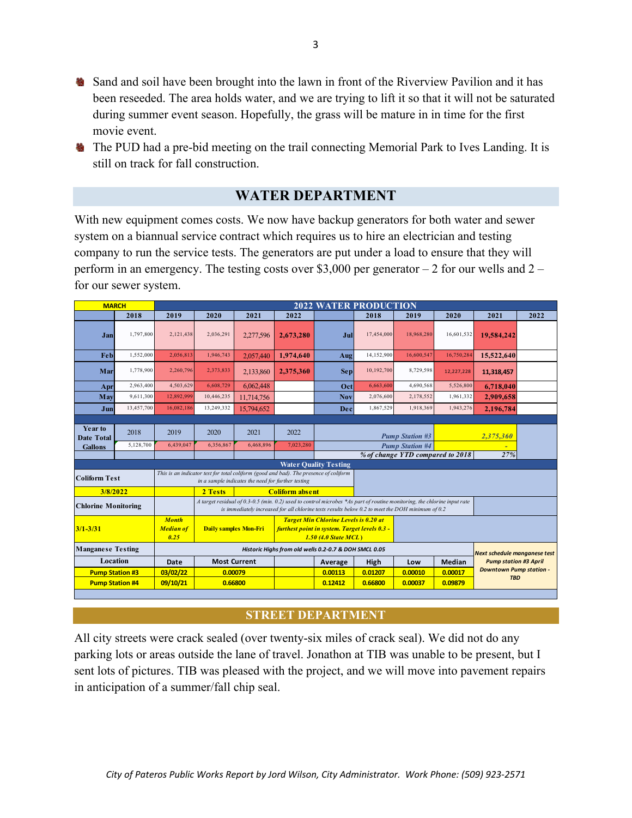- **Sand and soil have been brought into the lawn in front of the Riverview Pavilion and it has** been reseeded. The area holds water, and we are trying to lift it so that it will not be saturated during summer event season. Hopefully, the grass will be mature in in time for the first movie event.
- The PUD had a pre-bid meeting on the trail connecting Memorial Park to Ives Landing. It is still on track for fall construction.

#### **WATER DEPARTMENT**

With new equipment comes costs. We now have backup generators for both water and sewer system on a biannual service contract which requires us to hire an electrician and testing company to run the service tests. The generators are put under a load to ensure that they will perform in an emergency. The testing costs over \$3,000 per generator  $-2$  for our wells and  $2$ for our sewer system.

| <b>MARCH</b>                                                                                                                                                                                                                                               |                                         |                  | <b>2022 WATER PRODUCTION</b>                                                                                                                            |                     |                        |                                     |            |                    |               |                                              |      |
|------------------------------------------------------------------------------------------------------------------------------------------------------------------------------------------------------------------------------------------------------------|-----------------------------------------|------------------|---------------------------------------------------------------------------------------------------------------------------------------------------------|---------------------|------------------------|-------------------------------------|------------|--------------------|---------------|----------------------------------------------|------|
|                                                                                                                                                                                                                                                            | 2018                                    | 2019             | 2020                                                                                                                                                    | 2021                | 2022                   |                                     | 2018       | 2019               | 2020          | 2021                                         | 2022 |
| Jan                                                                                                                                                                                                                                                        | 1,797,800                               | 2,121,438        | 2,036,291                                                                                                                                               | 2,277,596           | 2,673,280              | Jul                                 | 17,454,000 | 18,968,280         | 16,601,532    | 19,584,242                                   |      |
| Feb                                                                                                                                                                                                                                                        | 1,552,000                               | 2.056.813        | 1,946,743                                                                                                                                               | 2,057,440           | 1.974.640              | Aug                                 | 14,152,900 | 16,600,547         | 16,750,284    | 15,522,640                                   |      |
| Mar                                                                                                                                                                                                                                                        | 1,778,900                               | 2,260,796        | 2,373,833                                                                                                                                               | 2,133,860           | 2,375,360              | <b>Sepl</b>                         | 10,192,700 | 8,729,598          | 12,227,228    | 11,318,457                                   |      |
| Apr                                                                                                                                                                                                                                                        | 2,963,400                               | 4,503,629        | 6,608,729                                                                                                                                               | 6,062,448           |                        | Oct                                 | 6,663,600  | 4,690,568          | 5,526,800     | 6,718,040                                    |      |
| May                                                                                                                                                                                                                                                        | 9,611,300                               | 12,892,999       | 10,446,235                                                                                                                                              | 11,714,756          |                        | <b>Nov</b>                          | 2,076,600  | 2,178,552          | 1,961,332     | 2,909,658                                    |      |
| Jun                                                                                                                                                                                                                                                        | 13,457,700                              | 16,082,186       | 13,249,332                                                                                                                                              | 15.794,652          |                        | Dec                                 | 1,867,529  | 1,918,369          | 1,943,276     | 2,196,784                                    |      |
|                                                                                                                                                                                                                                                            |                                         |                  |                                                                                                                                                         |                     |                        |                                     |            |                    |               |                                              |      |
| Year to<br><b>Date Total</b>                                                                                                                                                                                                                               | 2018                                    | 2019             | 2020                                                                                                                                                    | 2021                | 2022                   | <b>Pump Station #3</b>              |            |                    |               | 2.375.360                                    |      |
| <b>Gallons</b>                                                                                                                                                                                                                                             | 5,128,700                               | 6.439.047        | 6,356,867                                                                                                                                               | 6.468.896           | 7,023,280              | <b>Pump Station #4</b>              |            |                    |               |                                              |      |
|                                                                                                                                                                                                                                                            | % of change YTD compared to 2018<br>27% |                  |                                                                                                                                                         |                     |                        |                                     |            |                    |               |                                              |      |
| <b>Water Quality Testing</b><br>This is an indicator test for total coliform (good and bad). The presence of coliform<br><b>Coliform Test</b><br>in a sample indicates the need for further testing                                                        |                                         |                  |                                                                                                                                                         |                     |                        |                                     |            |                    |               |                                              |      |
| 3/8/2022                                                                                                                                                                                                                                                   |                                         |                  | 2 Tests                                                                                                                                                 |                     | <b>Coliform absent</b> |                                     |            |                    |               |                                              |      |
| A target residual of 0.3-0.5 (min. 0.2) used to control microbes *As part of routine monitoring, the chlorine input rate<br><b>Chlorine Monitoring</b><br>is immediately increased for all chlorine tests results below 0.2 to meet the DOH minimum of 0.2 |                                         |                  |                                                                                                                                                         |                     |                        |                                     |            |                    |               |                                              |      |
| <b>Month</b><br>$3/1 - 3/31$<br>0.25                                                                                                                                                                                                                       |                                         | <b>Median of</b> | <b>Target Min Chlorine Levels is 0.20 at</b><br><b>Daily samples Mon-Fri</b><br>furthest point in system. Target levels 0.3 -<br>$1.50$ (4.0 State MCL) |                     |                        |                                     |            |                    |               |                                              |      |
| <b>Manganese Testing</b><br>Historic Highs from old wells 0.2-0.7 & DOH SMCL 0.05                                                                                                                                                                          |                                         |                  |                                                                                                                                                         |                     |                        | <b>Next schedule manganese test</b> |            |                    |               |                                              |      |
| Location                                                                                                                                                                                                                                                   |                                         | Date             |                                                                                                                                                         | <b>Most Current</b> |                        | Average                             |            | Low                | <b>Median</b> | <b>Pump station #3 April</b>                 |      |
| <b>Pump Station #3</b>                                                                                                                                                                                                                                     |                                         | 03/02/22         | 0.00079                                                                                                                                                 |                     |                        | 0.00113                             | 0.01207    | 0.00010<br>0.00017 |               | <b>Downtown Pump station -</b><br><b>TBD</b> |      |
| <b>Pump Station #4</b>                                                                                                                                                                                                                                     |                                         | 09/10/21         | 0.66800                                                                                                                                                 |                     |                        | 0.12412                             | 0.66800    | 0.00037            | 0.09879       |                                              |      |
|                                                                                                                                                                                                                                                            |                                         |                  |                                                                                                                                                         |                     |                        |                                     |            |                    |               |                                              |      |

#### **STREET DEPARTMENT**

All city streets were crack sealed (over twenty-six miles of crack seal). We did not do any parking lots or areas outside the lane of travel. Jonathon at TIB was unable to be present, but I sent lots of pictures. TIB was pleased with the project, and we will move into pavement repairs in anticipation of a summer/fall chip seal.